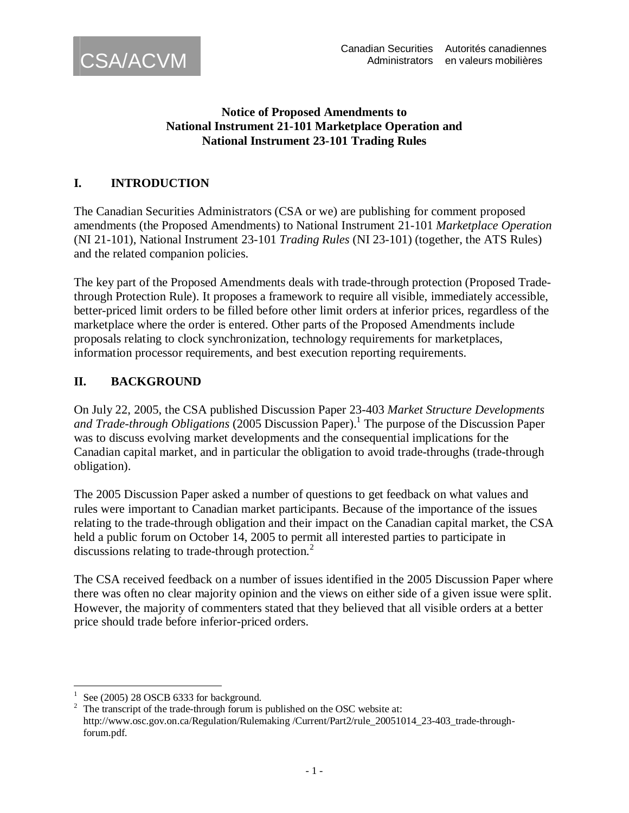

#### **Notice of Proposed Amendments to National Instrument 21-101 Marketplace Operation and National Instrument 23-101 Trading Rules**

# **I. INTRODUCTION**

The Canadian Securities Administrators (CSA or we) are publishing for comment proposed amendments (the Proposed Amendments) to National Instrument 21-101 *Marketplace Operation*  (NI 21-101), National Instrument 23-101 *Trading Rules* (NI 23-101) (together, the ATS Rules) and the related companion policies.

The key part of the Proposed Amendments deals with trade-through protection (Proposed Tradethrough Protection Rule). It proposes a framework to require all visible, immediately accessible, better-priced limit orders to be filled before other limit orders at inferior prices, regardless of the marketplace where the order is entered. Other parts of the Proposed Amendments include proposals relating to clock synchronization, technology requirements for marketplaces, information processor requirements, and best execution reporting requirements.

### **II. BACKGROUND**

On July 22, 2005, the CSA published Discussion Paper 23-403 *Market Structure Developments*  and Trade-through Obligations (2005 Discussion Paper).<sup>1</sup> The purpose of the Discussion Paper was to discuss evolving market developments and the consequential implications for the Canadian capital market, and in particular the obligation to avoid trade-throughs (trade-through obligation).

The 2005 Discussion Paper asked a number of questions to get feedback on what values and rules were important to Canadian market participants. Because of the importance of the issues relating to the trade-through obligation and their impact on the Canadian capital market, the CSA held a public forum on October 14, 2005 to permit all interested parties to participate in discussions relating to trade-through protection.<sup>2</sup>

The CSA received feedback on a number of issues identified in the 2005 Discussion Paper where there was often no clear majority opinion and the views on either side of a given issue were split. However, the majority of commenters stated that they believed that all visible orders at a better price should trade before inferior-priced orders.

<sup>&</sup>lt;u>.</u> 1 See (2005) 28 OSCB 6333 for background.

<sup>2</sup> The transcript of the trade-through forum is published on the OSC website at: http://www.osc.gov.on.ca/Regulation/Rulemaking /Current/Part2/rule\_20051014\_23-403\_trade-throughforum.pdf.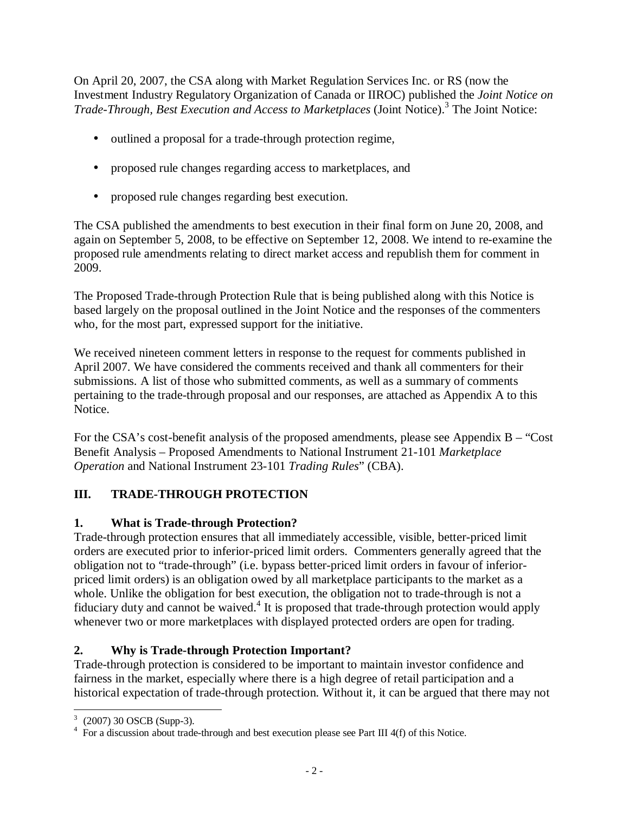On April 20, 2007, the CSA along with Market Regulation Services Inc. or RS (now the Investment Industry Regulatory Organization of Canada or IIROC) published the *Joint Notice on*  Trade-Through, Best Execution and Access to Marketplaces (Joint Notice).<sup>3</sup> The Joint Notice:

- outlined a proposal for a trade-through protection regime,
- proposed rule changes regarding access to marketplaces, and
- proposed rule changes regarding best execution.

The CSA published the amendments to best execution in their final form on June 20, 2008, and again on September 5, 2008, to be effective on September 12, 2008. We intend to re-examine the proposed rule amendments relating to direct market access and republish them for comment in 2009.

The Proposed Trade-through Protection Rule that is being published along with this Notice is based largely on the proposal outlined in the Joint Notice and the responses of the commenters who, for the most part, expressed support for the initiative.

We received nineteen comment letters in response to the request for comments published in April 2007. We have considered the comments received and thank all commenters for their submissions. A list of those who submitted comments, as well as a summary of comments pertaining to the trade-through proposal and our responses, are attached as Appendix A to this Notice.

For the CSA's cost-benefit analysis of the proposed amendments, please see Appendix B – "Cost Benefit Analysis – Proposed Amendments to National Instrument 21-101 *Marketplace Operation* and National Instrument 23-101 *Trading Rules*" (CBA).

# **III. TRADE-THROUGH PROTECTION**

# **1. What is Trade-through Protection?**

Trade-through protection ensures that all immediately accessible, visible, better-priced limit orders are executed prior to inferior-priced limit orders. Commenters generally agreed that the obligation not to "trade-through" (i.e. bypass better-priced limit orders in favour of inferiorpriced limit orders) is an obligation owed by all marketplace participants to the market as a whole. Unlike the obligation for best execution, the obligation not to trade-through is not a fiduciary duty and cannot be waived.<sup>4</sup> It is proposed that trade-through protection would apply whenever two or more marketplaces with displayed protected orders are open for trading.

# **2. Why is Trade-through Protection Important?**

Trade-through protection is considered to be important to maintain investor confidence and fairness in the market, especially where there is a high degree of retail participation and a historical expectation of trade-through protection. Without it, it can be argued that there may not

 3 (2007) 30 OSCB (Supp-3).

<sup>&</sup>lt;sup>4</sup> For a discussion about trade-through and best execution please see Part III 4(f) of this Notice.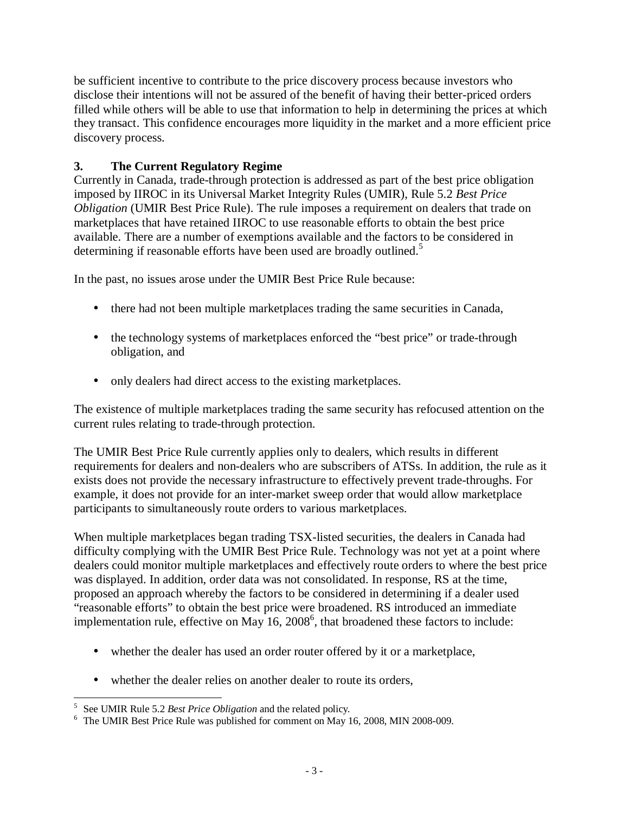be sufficient incentive to contribute to the price discovery process because investors who disclose their intentions will not be assured of the benefit of having their better-priced orders filled while others will be able to use that information to help in determining the prices at which they transact. This confidence encourages more liquidity in the market and a more efficient price discovery process.

### **3. The Current Regulatory Regime**

Currently in Canada, trade-through protection is addressed as part of the best price obligation imposed by IIROC in its Universal Market Integrity Rules (UMIR), Rule 5.2 *Best Price Obligation* (UMIR Best Price Rule). The rule imposes a requirement on dealers that trade on marketplaces that have retained IIROC to use reasonable efforts to obtain the best price available. There are a number of exemptions available and the factors to be considered in determining if reasonable efforts have been used are broadly outlined.<sup>5</sup>

In the past, no issues arose under the UMIR Best Price Rule because:

- there had not been multiple marketplaces trading the same securities in Canada,
- the technology systems of marketplaces enforced the "best price" or trade-through obligation, and
- only dealers had direct access to the existing market places.

The existence of multiple marketplaces trading the same security has refocused attention on the current rules relating to trade-through protection.

The UMIR Best Price Rule currently applies only to dealers, which results in different requirements for dealers and non-dealers who are subscribers of ATSs. In addition, the rule as it exists does not provide the necessary infrastructure to effectively prevent trade-throughs. For example, it does not provide for an inter-market sweep order that would allow marketplace participants to simultaneously route orders to various marketplaces.

When multiple marketplaces began trading TSX-listed securities, the dealers in Canada had difficulty complying with the UMIR Best Price Rule. Technology was not yet at a point where dealers could monitor multiple marketplaces and effectively route orders to where the best price was displayed. In addition, order data was not consolidated. In response, RS at the time, proposed an approach whereby the factors to be considered in determining if a dealer used "reasonable efforts" to obtain the best price were broadened. RS introduced an immediate implementation rule, effective on May  $16$ ,  $2008^6$ , that broadened these factors to include:

- whether the dealer has used an order router offered by it or a marketplace,
- whether the dealer relies on another dealer to route its orders,

 5 See UMIR Rule 5.2 *Best Price Obligation* and the related policy*.* 6 The UMIR Best Price Rule was published for comment on May 16, 2008, MIN 2008-009.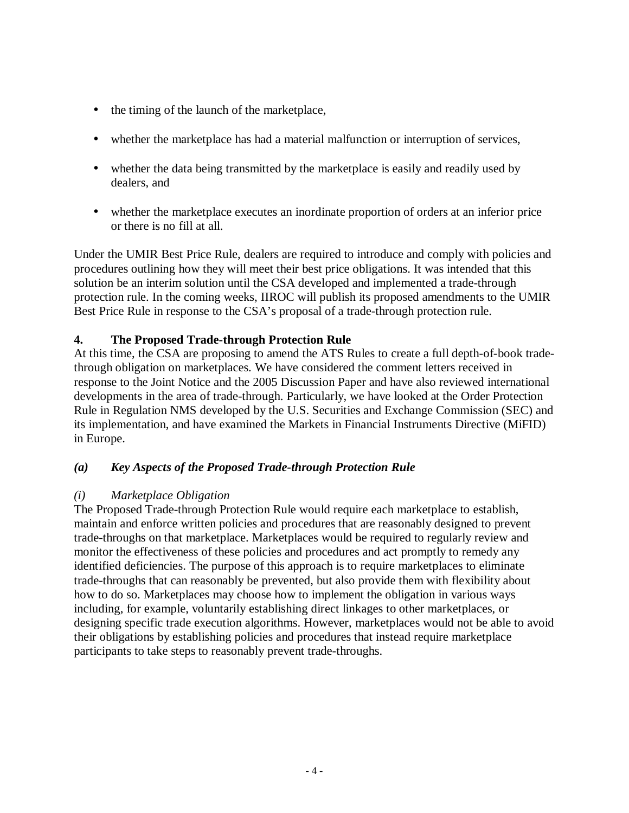- the timing of the launch of the marketplace,
- whether the marketplace has had a material malfunction or interruption of services,
- whether the data being transmitted by the marketplace is easily and readily used by dealers, and
- whether the marketplace executes an inordinate proportion of orders at an inferior price or there is no fill at all.

Under the UMIR Best Price Rule, dealers are required to introduce and comply with policies and procedures outlining how they will meet their best price obligations. It was intended that this solution be an interim solution until the CSA developed and implemented a trade-through protection rule. In the coming weeks, IIROC will publish its proposed amendments to the UMIR Best Price Rule in response to the CSA's proposal of a trade-through protection rule.

### **4. The Proposed Trade-through Protection Rule**

At this time, the CSA are proposing to amend the ATS Rules to create a full depth-of-book tradethrough obligation on marketplaces. We have considered the comment letters received in response to the Joint Notice and the 2005 Discussion Paper and have also reviewed international developments in the area of trade-through. Particularly, we have looked at the Order Protection Rule in Regulation NMS developed by the U.S. Securities and Exchange Commission (SEC) and its implementation, and have examined the Markets in Financial Instruments Directive (MiFID) in Europe.

### *(a) Key Aspects of the Proposed Trade-through Protection Rule*

### *(i) Marketplace Obligation*

The Proposed Trade-through Protection Rule would require each marketplace to establish, maintain and enforce written policies and procedures that are reasonably designed to prevent trade-throughs on that marketplace. Marketplaces would be required to regularly review and monitor the effectiveness of these policies and procedures and act promptly to remedy any identified deficiencies. The purpose of this approach is to require marketplaces to eliminate trade-throughs that can reasonably be prevented, but also provide them with flexibility about how to do so. Marketplaces may choose how to implement the obligation in various ways including, for example, voluntarily establishing direct linkages to other marketplaces, or designing specific trade execution algorithms. However, marketplaces would not be able to avoid their obligations by establishing policies and procedures that instead require marketplace participants to take steps to reasonably prevent trade-throughs.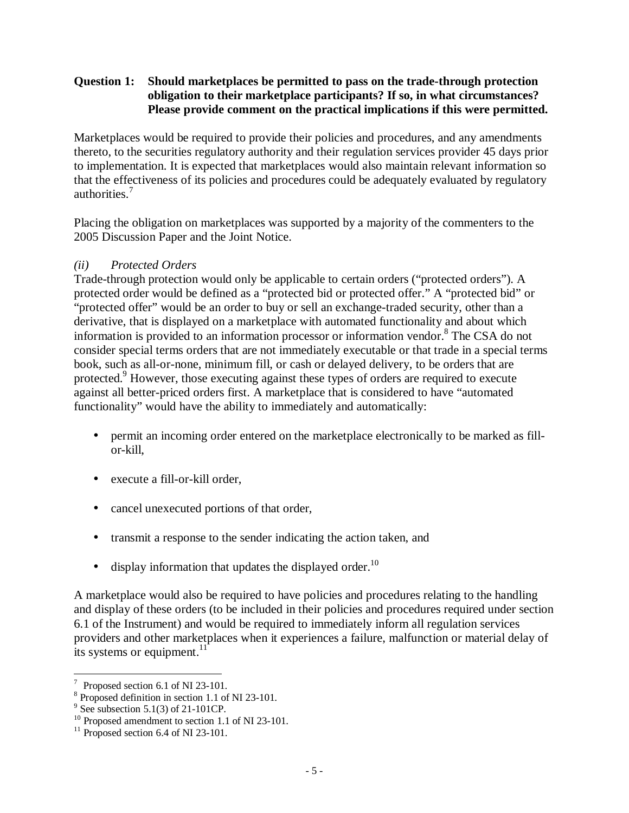#### **Question 1: Should marketplaces be permitted to pass on the trade-through protection obligation to their marketplace participants? If so, in what circumstances? Please provide comment on the practical implications if this were permitted.**

Marketplaces would be required to provide their policies and procedures, and any amendments thereto, to the securities regulatory authority and their regulation services provider 45 days prior to implementation. It is expected that marketplaces would also maintain relevant information so that the effectiveness of its policies and procedures could be adequately evaluated by regulatory authorities.<sup>7</sup>

Placing the obligation on marketplaces was supported by a majority of the commenters to the 2005 Discussion Paper and the Joint Notice.

### *(ii) Protected Orders*

Trade-through protection would only be applicable to certain orders ("protected orders"). A protected order would be defined as a "protected bid or protected offer." A "protected bid" or "protected offer" would be an order to buy or sell an exchange-traded security, other than a derivative, that is displayed on a marketplace with automated functionality and about which information is provided to an information processor or information vendor.<sup>8</sup> The CSA do not consider special terms orders that are not immediately executable or that trade in a special terms book, such as all-or-none, minimum fill, or cash or delayed delivery, to be orders that are protected.<sup>9</sup> However, those executing against these types of orders are required to execute against all better-priced orders first. A marketplace that is considered to have "automated functionality" would have the ability to immediately and automatically:

- permit an incoming order entered on the marketplace electronically to be marked as fillor-kill,
- execute a fill-or-kill order,
- cancel unexecuted portions of that order,
- transmit a response to the sender indicating the action taken, and
- display information that updates the displayed order.<sup>10</sup>

A marketplace would also be required to have policies and procedures relating to the handling and display of these orders (to be included in their policies and procedures required under section 6.1 of the Instrument) and would be required to immediately inform all regulation services providers and other marketplaces when it experiences a failure, malfunction or material delay of its systems or equipment. $11$ 

<sup>-&</sup>lt;br>7 Proposed section 6.1 of NI 23-101.

<sup>8</sup> Proposed definition in section 1.1 of NI 23-101.

 $9^9$  See subsection 5.1(3) of 21-101CP.

<sup>&</sup>lt;sup>10</sup> Proposed amendment to section 1.1 of NI 23-101.

 $11$  Proposed section 6.4 of NI 23-101.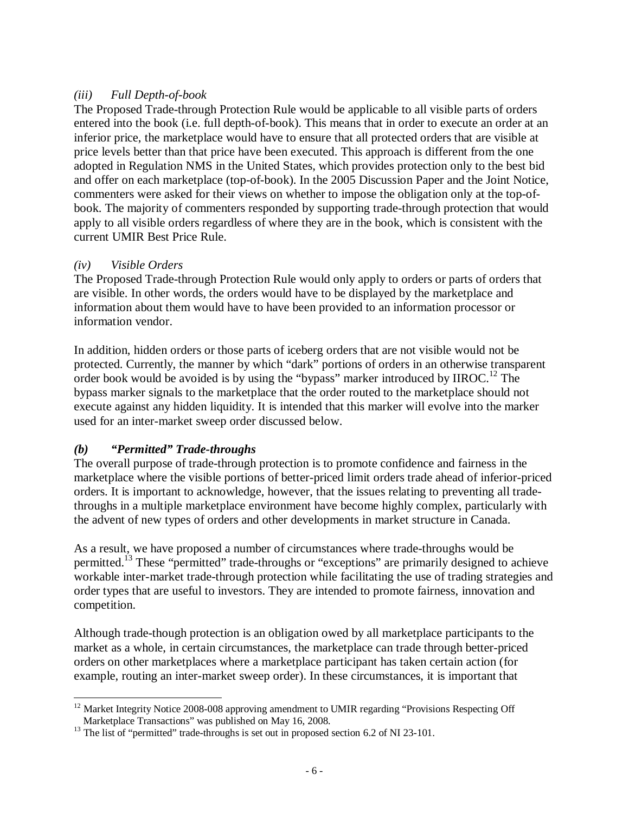### *(iii) Full Depth-of-book*

The Proposed Trade-through Protection Rule would be applicable to all visible parts of orders entered into the book (i.e. full depth-of-book). This means that in order to execute an order at an inferior price, the marketplace would have to ensure that all protected orders that are visible at price levels better than that price have been executed. This approach is different from the one adopted in Regulation NMS in the United States, which provides protection only to the best bid and offer on each marketplace (top-of-book). In the 2005 Discussion Paper and the Joint Notice, commenters were asked for their views on whether to impose the obligation only at the top-ofbook. The majority of commenters responded by supporting trade-through protection that would apply to all visible orders regardless of where they are in the book, which is consistent with the current UMIR Best Price Rule.

### *(iv) Visible Orders*

The Proposed Trade-through Protection Rule would only apply to orders or parts of orders that are visible. In other words, the orders would have to be displayed by the marketplace and information about them would have to have been provided to an information processor or information vendor.

In addition, hidden orders or those parts of iceberg orders that are not visible would not be protected. Currently, the manner by which "dark" portions of orders in an otherwise transparent order book would be avoided is by using the "bypass" marker introduced by IIROC.<sup>12</sup> The bypass marker signals to the marketplace that the order routed to the marketplace should not execute against any hidden liquidity. It is intended that this marker will evolve into the marker used for an inter-market sweep order discussed below.

# *(b) "Permitted" Trade-throughs*

The overall purpose of trade-through protection is to promote confidence and fairness in the marketplace where the visible portions of better-priced limit orders trade ahead of inferior-priced orders. It is important to acknowledge, however, that the issues relating to preventing all tradethroughs in a multiple marketplace environment have become highly complex, particularly with the advent of new types of orders and other developments in market structure in Canada.

As a result, we have proposed a number of circumstances where trade-throughs would be permitted.<sup>13</sup> These "permitted" trade-throughs or "exceptions" are primarily designed to achieve workable inter-market trade-through protection while facilitating the use of trading strategies and order types that are useful to investors. They are intended to promote fairness, innovation and competition.

Although trade-though protection is an obligation owed by all marketplace participants to the market as a whole, in certain circumstances, the marketplace can trade through better-priced orders on other marketplaces where a marketplace participant has taken certain action (for example, routing an inter-market sweep order). In these circumstances, it is important that

<sup>-</sup> $12$  Market Integrity Notice 2008-008 approving amendment to UMIR regarding "Provisions Respecting Off Marketplace Transactions" was published on May 16, 2008.

 $13$  The list of "permitted" trade-throughs is set out in proposed section 6.2 of NI 23-101.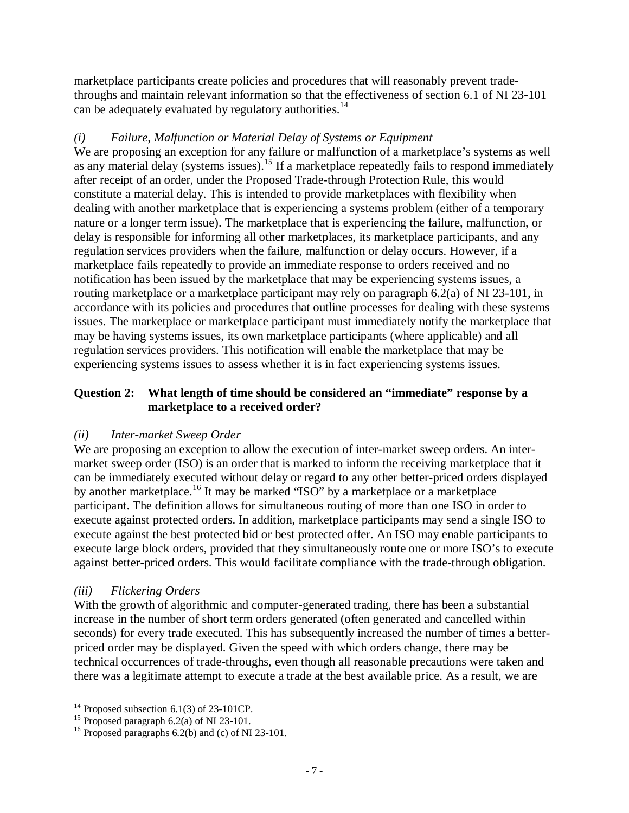marketplace participants create policies and procedures that will reasonably prevent tradethroughs and maintain relevant information so that the effectiveness of section 6.1 of NI 23-101 can be adequately evaluated by regulatory authorities.<sup>14</sup>

### *(i) Failure, Malfunction or Material Delay of Systems or Equipment*

We are proposing an exception for any failure or malfunction of a marketplace's systems as well as any material delay (systems issues).<sup>15</sup> If a marketplace repeatedly fails to respond immediately after receipt of an order, under the Proposed Trade-through Protection Rule, this would constitute a material delay. This is intended to provide marketplaces with flexibility when dealing with another marketplace that is experiencing a systems problem (either of a temporary nature or a longer term issue). The marketplace that is experiencing the failure, malfunction, or delay is responsible for informing all other marketplaces, its marketplace participants, and any regulation services providers when the failure, malfunction or delay occurs. However, if a marketplace fails repeatedly to provide an immediate response to orders received and no notification has been issued by the marketplace that may be experiencing systems issues, a routing marketplace or a marketplace participant may rely on paragraph 6.2(a) of NI 23-101, in accordance with its policies and procedures that outline processes for dealing with these systems issues. The marketplace or marketplace participant must immediately notify the marketplace that may be having systems issues, its own marketplace participants (where applicable) and all regulation services providers. This notification will enable the marketplace that may be experiencing systems issues to assess whether it is in fact experiencing systems issues.

#### **Question 2: What length of time should be considered an "immediate" response by a marketplace to a received order?**

### *(ii) Inter-market Sweep Order*

We are proposing an exception to allow the execution of inter-market sweep orders. An intermarket sweep order (ISO) is an order that is marked to inform the receiving marketplace that it can be immediately executed without delay or regard to any other better-priced orders displayed by another marketplace.<sup>16</sup> It may be marked "ISO" by a marketplace or a marketplace participant. The definition allows for simultaneous routing of more than one ISO in order to execute against protected orders. In addition, marketplace participants may send a single ISO to execute against the best protected bid or best protected offer. An ISO may enable participants to execute large block orders, provided that they simultaneously route one or more ISO's to execute against better-priced orders. This would facilitate compliance with the trade-through obligation.

### *(iii) Flickering Orders*

With the growth of algorithmic and computer-generated trading, there has been a substantial increase in the number of short term orders generated (often generated and cancelled within seconds) for every trade executed. This has subsequently increased the number of times a betterpriced order may be displayed. Given the speed with which orders change, there may be technical occurrences of trade-throughs, even though all reasonable precautions were taken and there was a legitimate attempt to execute a trade at the best available price. As a result, we are

<sup>-</sup> $14$  Proposed subsection 6.1(3) of 23-101CP.

<sup>&</sup>lt;sup>15</sup> Proposed paragraph 6.2(a) of NI 23-101.

<sup>&</sup>lt;sup>16</sup> Proposed paragraphs  $6.2(b)$  and (c) of NI 23-101.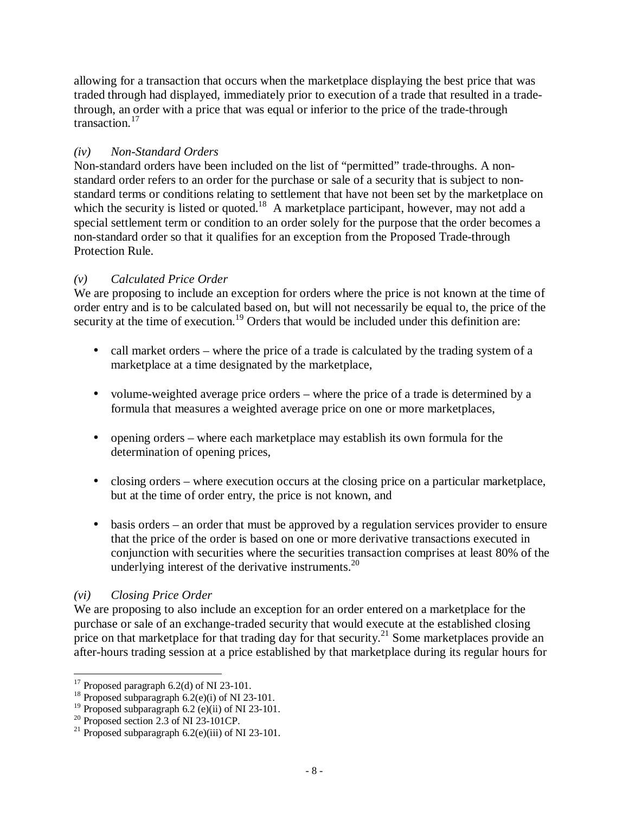allowing for a transaction that occurs when the marketplace displaying the best price that was traded through had displayed, immediately prior to execution of a trade that resulted in a tradethrough, an order with a price that was equal or inferior to the price of the trade-through transaction.<sup>17</sup>

# *(iv) Non-Standard Orders*

Non-standard orders have been included on the list of "permitted" trade-throughs. A nonstandard order refers to an order for the purchase or sale of a security that is subject to nonstandard terms or conditions relating to settlement that have not been set by the marketplace on which the security is listed or quoted.<sup>18</sup> A marketplace participant, however, may not add a special settlement term or condition to an order solely for the purpose that the order becomes a non-standard order so that it qualifies for an exception from the Proposed Trade-through Protection Rule.

### *(v) Calculated Price Order*

We are proposing to include an exception for orders where the price is not known at the time of order entry and is to be calculated based on, but will not necessarily be equal to, the price of the security at the time of execution.<sup>19</sup> Orders that would be included under this definition are:

- call market orders where the price of a trade is calculated by the trading system of a marketplace at a time designated by the marketplace,
- volume-weighted average price orders where the price of a trade is determined by a formula that measures a weighted average price on one or more marketplaces,
- opening orders where each marketplace may establish its own formula for the determination of opening prices,
- closing orders where execution occurs at the closing price on a particular marketplace, but at the time of order entry, the price is not known, and
- basis orders an order that must be approved by a regulation services provider to ensure that the price of the order is based on one or more derivative transactions executed in conjunction with securities where the securities transaction comprises at least 80% of the underlying interest of the derivative instruments. $^{20}$

### *(vi) Closing Price Order*

<u>.</u>

We are proposing to also include an exception for an order entered on a marketplace for the purchase or sale of an exchange-traded security that would execute at the established closing price on that marketplace for that trading day for that security.<sup>21</sup> Some marketplaces provide an after-hours trading session at a price established by that marketplace during its regular hours for

 $17$  Proposed paragraph 6.2(d) of NI 23-101.

<sup>&</sup>lt;sup>18</sup> Proposed subparagraph  $6.2$ (e)(i) of NI 23-101.

<sup>&</sup>lt;sup>19</sup> Proposed subparagraph 6.2 (e)(ii) of NI 23-101.

<sup>&</sup>lt;sup>20</sup> Proposed section 2.3 of NI 23-101CP.

<sup>&</sup>lt;sup>21</sup> Proposed subparagraph  $6.2$ (e)(iii) of NI 23-101.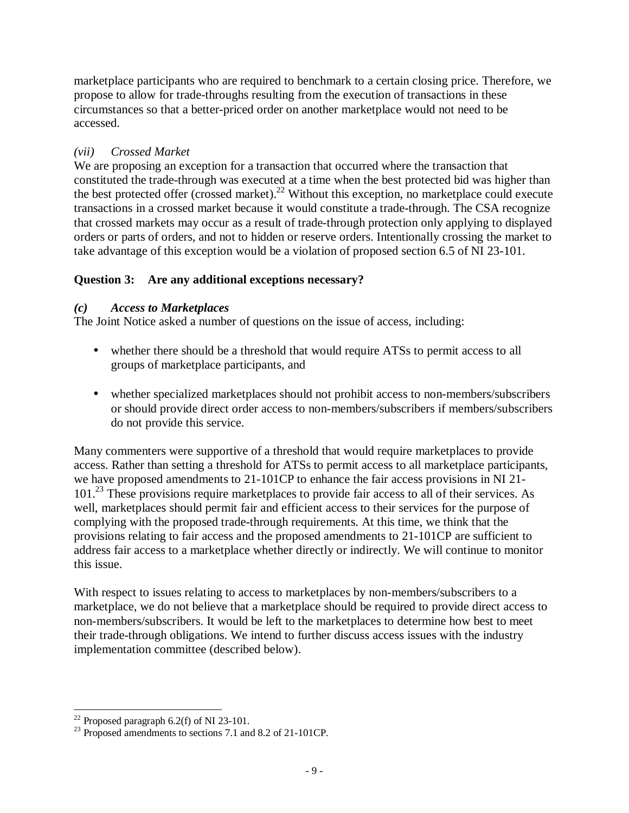marketplace participants who are required to benchmark to a certain closing price. Therefore, we propose to allow for trade-throughs resulting from the execution of transactions in these circumstances so that a better-priced order on another marketplace would not need to be accessed.

# *(vii) Crossed Market*

We are proposing an exception for a transaction that occurred where the transaction that constituted the trade-through was executed at a time when the best protected bid was higher than the best protected offer (crossed market).<sup>22</sup> Without this exception, no marketplace could execute transactions in a crossed market because it would constitute a trade-through. The CSA recognize that crossed markets may occur as a result of trade-through protection only applying to displayed orders or parts of orders, and not to hidden or reserve orders. Intentionally crossing the market to take advantage of this exception would be a violation of proposed section 6.5 of NI 23-101.

# **Question 3: Are any additional exceptions necessary?**

# *(c) Access to Marketplaces*

The Joint Notice asked a number of questions on the issue of access, including:

- whether there should be a threshold that would require ATSs to permit access to all groups of marketplace participants, and
- whether specialized marketplaces should not prohibit access to non-members/subscribers or should provide direct order access to non-members/subscribers if members/subscribers do not provide this service.

Many commenters were supportive of a threshold that would require marketplaces to provide access. Rather than setting a threshold for ATSs to permit access to all marketplace participants, we have proposed amendments to 21-101CP to enhance the fair access provisions in NI 21- 101.<sup>23</sup> These provisions require marketplaces to provide fair access to all of their services. As well, marketplaces should permit fair and efficient access to their services for the purpose of complying with the proposed trade-through requirements. At this time, we think that the provisions relating to fair access and the proposed amendments to 21-101CP are sufficient to address fair access to a marketplace whether directly or indirectly. We will continue to monitor this issue.

With respect to issues relating to access to marketplaces by non-members/subscribers to a marketplace, we do not believe that a marketplace should be required to provide direct access to non-members/subscribers. It would be left to the marketplaces to determine how best to meet their trade-through obligations. We intend to further discuss access issues with the industry implementation committee (described below).

<sup>&</sup>lt;u>.</u>  $22$  Proposed paragraph 6.2(f) of NI 23-101.

<sup>&</sup>lt;sup>23</sup> Proposed amendments to sections 7.1 and 8.2 of 21-101CP.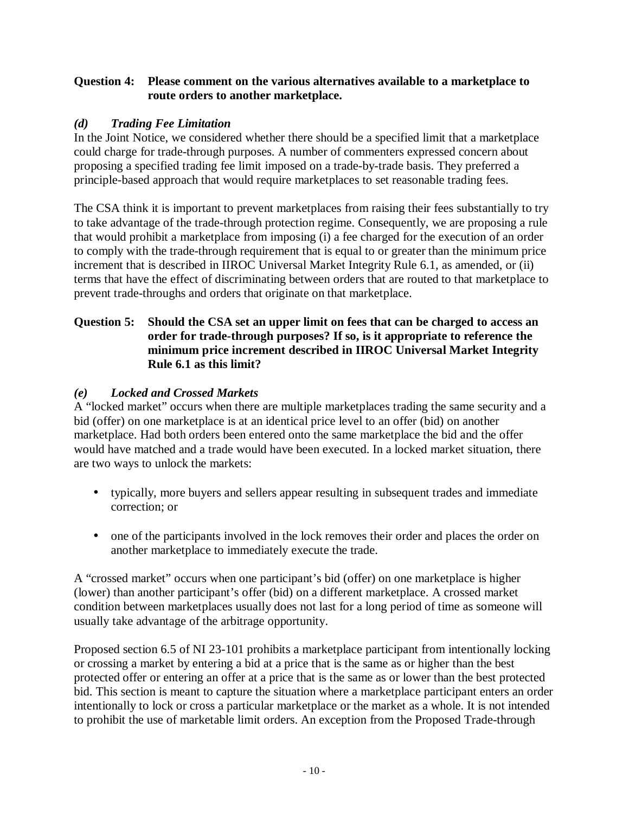### **Question 4: Please comment on the various alternatives available to a marketplace to route orders to another marketplace.**

### *(d) Trading Fee Limitation*

In the Joint Notice, we considered whether there should be a specified limit that a marketplace could charge for trade-through purposes. A number of commenters expressed concern about proposing a specified trading fee limit imposed on a trade-by-trade basis. They preferred a principle-based approach that would require marketplaces to set reasonable trading fees.

The CSA think it is important to prevent marketplaces from raising their fees substantially to try to take advantage of the trade-through protection regime. Consequently, we are proposing a rule that would prohibit a marketplace from imposing (i) a fee charged for the execution of an order to comply with the trade-through requirement that is equal to or greater than the minimum price increment that is described in IIROC Universal Market Integrity Rule 6.1, as amended, or (ii) terms that have the effect of discriminating between orders that are routed to that marketplace to prevent trade-throughs and orders that originate on that marketplace.

### **Question 5: Should the CSA set an upper limit on fees that can be charged to access an order for trade-through purposes? If so, is it appropriate to reference the minimum price increment described in IIROC Universal Market Integrity Rule 6.1 as this limit?**

### *(e) Locked and Crossed Markets*

A "locked market" occurs when there are multiple marketplaces trading the same security and a bid (offer) on one marketplace is at an identical price level to an offer (bid) on another marketplace. Had both orders been entered onto the same marketplace the bid and the offer would have matched and a trade would have been executed. In a locked market situation, there are two ways to unlock the markets:

- typically, more buyers and sellers appear resulting in subsequent trades and immediate correction; or
- one of the participants involved in the lock removes their order and places the order on another marketplace to immediately execute the trade.

A "crossed market" occurs when one participant's bid (offer) on one marketplace is higher (lower) than another participant's offer (bid) on a different marketplace. A crossed market condition between marketplaces usually does not last for a long period of time as someone will usually take advantage of the arbitrage opportunity.

Proposed section 6.5 of NI 23-101 prohibits a marketplace participant from intentionally locking or crossing a market by entering a bid at a price that is the same as or higher than the best protected offer or entering an offer at a price that is the same as or lower than the best protected bid. This section is meant to capture the situation where a marketplace participant enters an order intentionally to lock or cross a particular marketplace or the market as a whole. It is not intended to prohibit the use of marketable limit orders. An exception from the Proposed Trade-through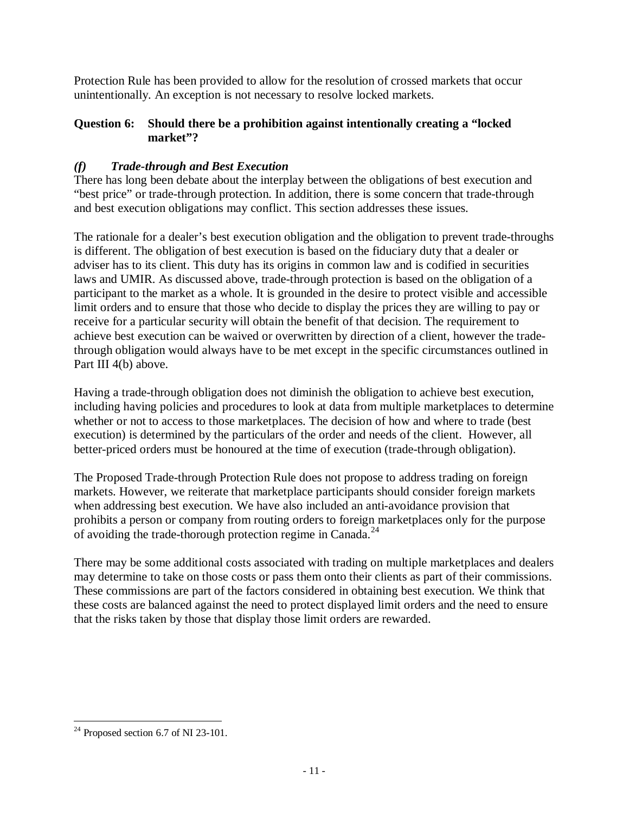Protection Rule has been provided to allow for the resolution of crossed markets that occur unintentionally. An exception is not necessary to resolve locked markets.

### **Question 6: Should there be a prohibition against intentionally creating a "locked market"?**

# *(f) Trade-through and Best Execution*

There has long been debate about the interplay between the obligations of best execution and "best price" or trade-through protection. In addition, there is some concern that trade-through and best execution obligations may conflict. This section addresses these issues.

The rationale for a dealer's best execution obligation and the obligation to prevent trade-throughs is different. The obligation of best execution is based on the fiduciary duty that a dealer or adviser has to its client. This duty has its origins in common law and is codified in securities laws and UMIR. As discussed above, trade-through protection is based on the obligation of a participant to the market as a whole. It is grounded in the desire to protect visible and accessible limit orders and to ensure that those who decide to display the prices they are willing to pay or receive for a particular security will obtain the benefit of that decision. The requirement to achieve best execution can be waived or overwritten by direction of a client, however the tradethrough obligation would always have to be met except in the specific circumstances outlined in Part III 4(b) above.

Having a trade-through obligation does not diminish the obligation to achieve best execution, including having policies and procedures to look at data from multiple marketplaces to determine whether or not to access to those marketplaces. The decision of how and where to trade (best execution) is determined by the particulars of the order and needs of the client. However, all better-priced orders must be honoured at the time of execution (trade-through obligation).

The Proposed Trade-through Protection Rule does not propose to address trading on foreign markets. However, we reiterate that marketplace participants should consider foreign markets when addressing best execution. We have also included an anti-avoidance provision that prohibits a person or company from routing orders to foreign marketplaces only for the purpose of avoiding the trade-thorough protection regime in Canada.<sup>24</sup>

There may be some additional costs associated with trading on multiple marketplaces and dealers may determine to take on those costs or pass them onto their clients as part of their commissions. These commissions are part of the factors considered in obtaining best execution. We think that these costs are balanced against the need to protect displayed limit orders and the need to ensure that the risks taken by those that display those limit orders are rewarded.

<sup>&</sup>lt;u>.</u>  $24$  Proposed section 6.7 of NI 23-101.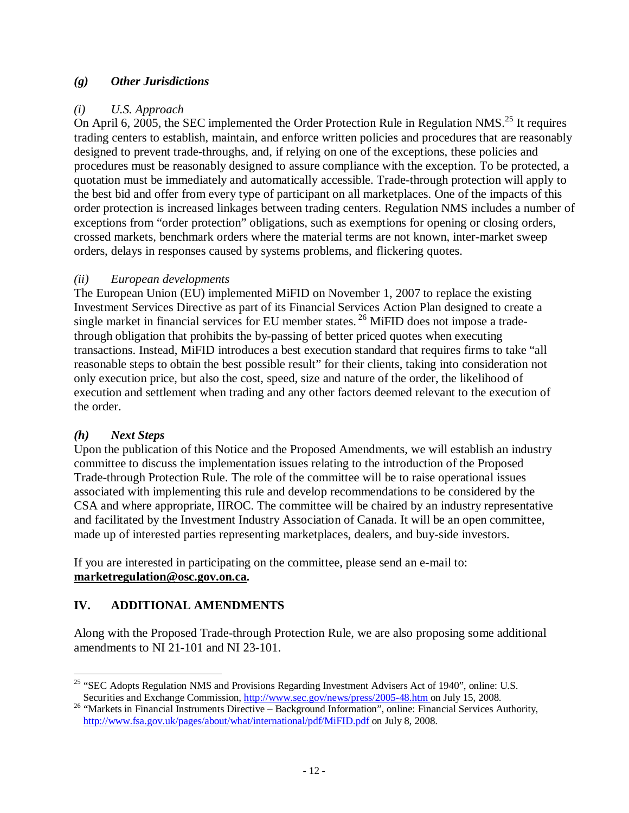### *(g) Other Jurisdictions*

### *(i) U.S. Approach*

On April 6, 2005, the SEC implemented the Order Protection Rule in Regulation NMS.<sup>25</sup> It requires trading centers to establish, maintain, and enforce written policies and procedures that are reasonably designed to prevent trade-throughs, and, if relying on one of the exceptions, these policies and procedures must be reasonably designed to assure compliance with the exception. To be protected, a quotation must be immediately and automatically accessible. Trade-through protection will apply to the best bid and offer from every type of participant on all marketplaces. One of the impacts of this order protection is increased linkages between trading centers. Regulation NMS includes a number of exceptions from "order protection" obligations, such as exemptions for opening or closing orders, crossed markets, benchmark orders where the material terms are not known, inter-market sweep orders, delays in responses caused by systems problems, and flickering quotes.

### *(ii) European developments*

The European Union (EU) implemented MiFID on November 1, 2007 to replace the existing Investment Services Directive as part of its Financial Services Action Plan designed to create a single market in financial services for EU member states.<sup>26</sup> MiFID does not impose a tradethrough obligation that prohibits the by-passing of better priced quotes when executing transactions. Instead, MiFID introduces a best execution standard that requires firms to take "all reasonable steps to obtain the best possible result" for their clients, taking into consideration not only execution price, but also the cost, speed, size and nature of the order, the likelihood of execution and settlement when trading and any other factors deemed relevant to the execution of the order.

### *(h) Next Steps*

Upon the publication of this Notice and the Proposed Amendments, we will establish an industry committee to discuss the implementation issues relating to the introduction of the Proposed Trade-through Protection Rule. The role of the committee will be to raise operational issues associated with implementing this rule and develop recommendations to be considered by the CSA and where appropriate, IIROC. The committee will be chaired by an industry representative and facilitated by the Investment Industry Association of Canada. It will be an open committee, made up of interested parties representing marketplaces, dealers, and buy-side investors.

If you are interested in participating on the committee, please send an e-mail to: **[marketregulation@osc.gov.on.ca.](mailto:marketregulation@osc.gov.on.ca)** 

# **IV. ADDITIONAL AMENDMENTS**

Along with the Proposed Trade-through Protection Rule, we are also proposing some additional amendments to NI 21-101 and NI 23-101.

<sup>&</sup>lt;u>.</u> <sup>25</sup> "SEC Adopts Regulation NMS and Provisions Regarding Investment Advisers Act of 1940", online: U.S. Securities and Exchange Commission, http://www.sec.gov/news/press/2005-48.htm on July 15, 2008.

<sup>&</sup>lt;sup>26</sup> "Markets in Financial Instruments Directive – Background Information", online: Financial Services Authority, http://www.fsa.gov.uk/pages/about/what/international/pdf/MiFID.pdf on July 8, 2008.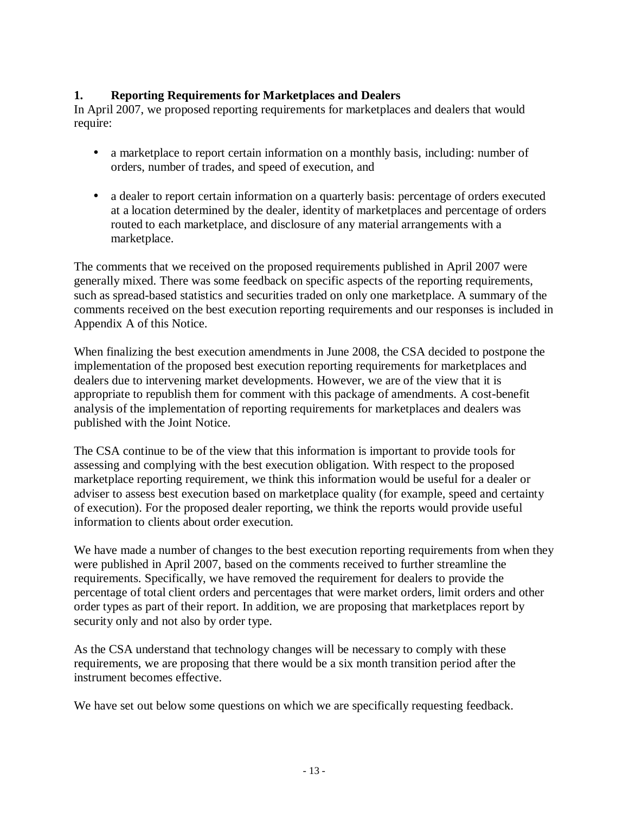### **1. Reporting Requirements for Marketplaces and Dealers**

In April 2007, we proposed reporting requirements for marketplaces and dealers that would require:

- a market place to report certain information on a monthly basis, including: number of orders, number of trades, and speed of execution, and
- a dealer to report certain information on a quarterly basis: percentage of orders executed at a location determined by the dealer, identity of marketplaces and percentage of orders routed to each marketplace, and disclosure of any material arrangements with a marketplace.

The comments that we received on the proposed requirements published in April 2007 were generally mixed. There was some feedback on specific aspects of the reporting requirements, such as spread-based statistics and securities traded on only one marketplace. A summary of the comments received on the best execution reporting requirements and our responses is included in Appendix A of this Notice.

When finalizing the best execution amendments in June 2008, the CSA decided to postpone the implementation of the proposed best execution reporting requirements for marketplaces and dealers due to intervening market developments. However, we are of the view that it is appropriate to republish them for comment with this package of amendments. A cost-benefit analysis of the implementation of reporting requirements for marketplaces and dealers was published with the Joint Notice.

The CSA continue to be of the view that this information is important to provide tools for assessing and complying with the best execution obligation. With respect to the proposed marketplace reporting requirement, we think this information would be useful for a dealer or adviser to assess best execution based on marketplace quality (for example, speed and certainty of execution). For the proposed dealer reporting, we think the reports would provide useful information to clients about order execution.

We have made a number of changes to the best execution reporting requirements from when they were published in April 2007, based on the comments received to further streamline the requirements. Specifically, we have removed the requirement for dealers to provide the percentage of total client orders and percentages that were market orders, limit orders and other order types as part of their report. In addition, we are proposing that marketplaces report by security only and not also by order type.

As the CSA understand that technology changes will be necessary to comply with these requirements, we are proposing that there would be a six month transition period after the instrument becomes effective.

We have set out below some questions on which we are specifically requesting feedback.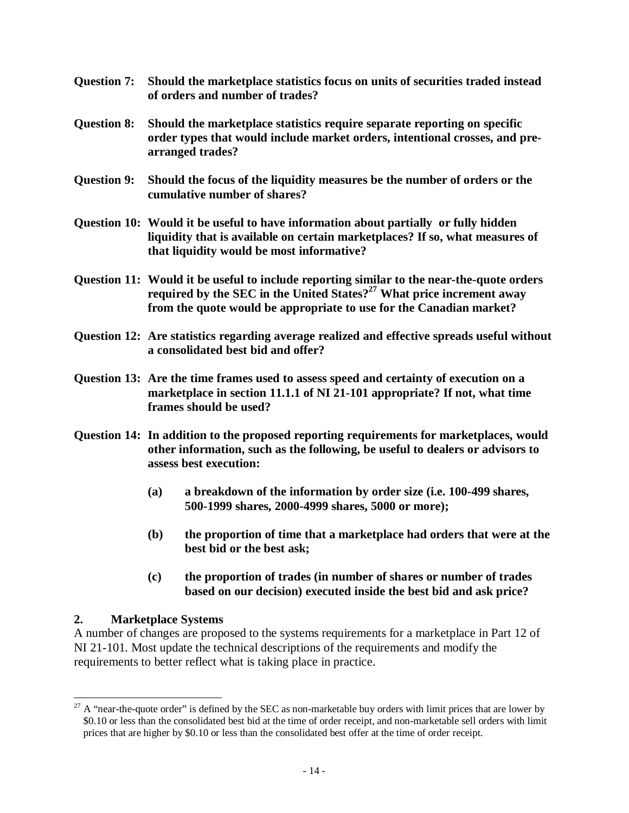- **Question 7: Should the marketplace statistics focus on units of securities traded instead of orders and number of trades?**
- **Question 8: Should the marketplace statistics require separate reporting on specific order types that would include market orders, intentional crosses, and prearranged trades?**
- **Question 9: Should the focus of the liquidity measures be the number of orders or the cumulative number of shares?**
- **Question 10: Would it be useful to have information about partially or fully hidden liquidity that is available on certain marketplaces? If so, what measures of that liquidity would be most informative?**
- **Question 11: Would it be useful to include reporting similar to the near-the-quote orders required by the SEC in the United States?<sup>27</sup> What price increment away from the quote would be appropriate to use for the Canadian market?**
- **Question 12: Are statistics regarding average realized and effective spreads useful without a consolidated best bid and offer?**
- **Question 13: Are the time frames used to assess speed and certainty of execution on a marketplace in section 11.1.1 of NI 21-101 appropriate? If not, what time frames should be used?**
- **Question 14: In addition to the proposed reporting requirements for marketplaces, would other information, such as the following, be useful to dealers or advisors to assess best execution:** 
	- **(a) a breakdown of the information by order size (i.e. 100-499 shares, 500-1999 shares, 2000-4999 shares, 5000 or more);**
	- **(b) the proportion of time that a marketplace had orders that were at the best bid or the best ask;**
	- **(c) the proportion of trades (in number of shares or number of trades based on our decision) executed inside the best bid and ask price?**

### **2. Marketplace Systems**

A number of changes are proposed to the systems requirements for a marketplace in Part 12 of NI 21-101. Most update the technical descriptions of the requirements and modify the requirements to better reflect what is taking place in practice.

<sup>-</sup><sup>27</sup> A "near-the-quote order" is defined by the SEC as non-marketable buy orders with limit prices that are lower by \$0.10 or less than the consolidated best bid at the time of order receipt, and non-marketable sell orders with limit prices that are higher by \$0.10 or less than the consolidated best offer at the time of order receipt.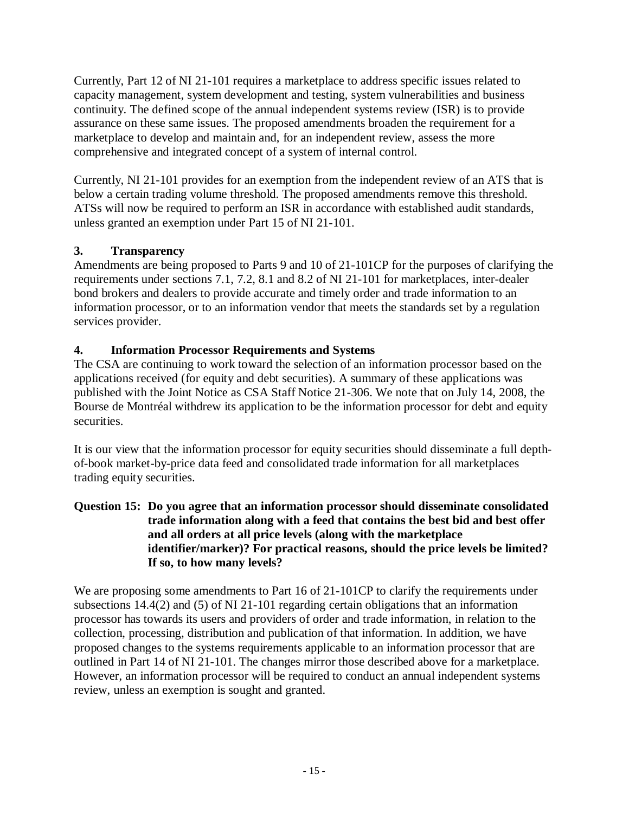Currently, Part 12 of NI 21-101 requires a marketplace to address specific issues related to capacity management, system development and testing, system vulnerabilities and business continuity. The defined scope of the annual independent systems review (ISR) is to provide assurance on these same issues. The proposed amendments broaden the requirement for a marketplace to develop and maintain and, for an independent review, assess the more comprehensive and integrated concept of a system of internal control.

Currently, NI 21-101 provides for an exemption from the independent review of an ATS that is below a certain trading volume threshold. The proposed amendments remove this threshold. ATSs will now be required to perform an ISR in accordance with established audit standards, unless granted an exemption under Part 15 of NI 21-101.

# **3. Transparency**

Amendments are being proposed to Parts 9 and 10 of 21-101CP for the purposes of clarifying the requirements under sections 7.1, 7.2, 8.1 and 8.2 of NI 21-101 for marketplaces, inter-dealer bond brokers and dealers to provide accurate and timely order and trade information to an information processor, or to an information vendor that meets the standards set by a regulation services provider.

# **4. Information Processor Requirements and Systems**

The CSA are continuing to work toward the selection of an information processor based on the applications received (for equity and debt securities). A summary of these applications was published with the Joint Notice as CSA Staff Notice 21-306. We note that on July 14, 2008, the Bourse de Montréal withdrew its application to be the information processor for debt and equity securities.

It is our view that the information processor for equity securities should disseminate a full depthof-book market-by-price data feed and consolidated trade information for all marketplaces trading equity securities.

### **Question 15: Do you agree that an information processor should disseminate consolidated trade information along with a feed that contains the best bid and best offer and all orders at all price levels (along with the marketplace identifier/marker)? For practical reasons, should the price levels be limited? If so, to how many levels?**

We are proposing some amendments to Part 16 of 21-101CP to clarify the requirements under subsections 14.4(2) and (5) of NI 21-101 regarding certain obligations that an information processor has towards its users and providers of order and trade information, in relation to the collection, processing, distribution and publication of that information. In addition, we have proposed changes to the systems requirements applicable to an information processor that are outlined in Part 14 of NI 21-101. The changes mirror those described above for a marketplace. However, an information processor will be required to conduct an annual independent systems review, unless an exemption is sought and granted.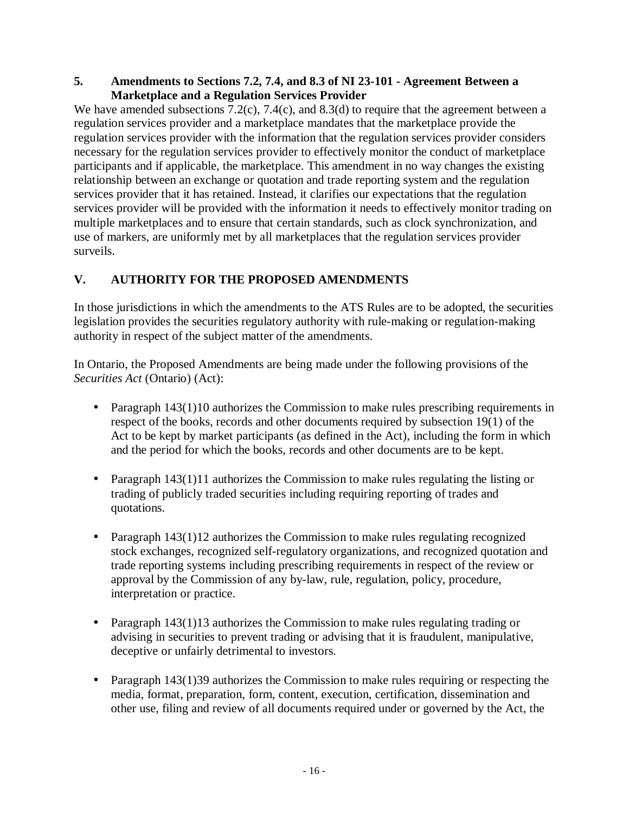### **5. Amendments to Sections 7.2, 7.4, and 8.3 of NI 23-101 - Agreement Between a Marketplace and a Regulation Services Provider**

We have amended subsections 7.2(c), 7.4(c), and 8.3(d) to require that the agreement between a regulation services provider and a marketplace mandates that the marketplace provide the regulation services provider with the information that the regulation services provider considers necessary for the regulation services provider to effectively monitor the conduct of marketplace participants and if applicable, the marketplace. This amendment in no way changes the existing relationship between an exchange or quotation and trade reporting system and the regulation services provider that it has retained. Instead, it clarifies our expectations that the regulation services provider will be provided with the information it needs to effectively monitor trading on multiple marketplaces and to ensure that certain standards, such as clock synchronization, and use of markers, are uniformly met by all marketplaces that the regulation services provider surveils.

# **V. AUTHORITY FOR THE PROPOSED AMENDMENTS**

In those jurisdictions in which the amendments to the ATS Rules are to be adopted, the securities legislation provides the securities regulatory authority with rule-making or regulation-making authority in respect of the subject matter of the amendments.

In Ontario, the Proposed Amendments are being made under the following provisions of the *Securities Act* (Ontario) (Act):

- Paragraph 143(1)10 authorizes the Commission to make rules prescribing requirements in respect of the books, records and other documents required by subsection 19(1) of the Act to be kept by market participants (as defined in the Act), including the form in which and the period for which the books, records and other documents are to be kept.
- Paragraph  $143(1)11$  authorizes the Commission to make rules regulating the listing or trading of publicly traded securities including requiring reporting of trades and quotations.
- Paragraph 143(1)12 authorizes the Commission to make rules regulating recognized stock exchanges, recognized self-regulatory organizations, and recognized quotation and trade reporting systems including prescribing requirements in respect of the review or approval by the Commission of any by-law, rule, regulation, policy, procedure, interpretation or practice.
- Paragraph 143(1)13 authorizes the Commission to make rules regulating trading or advising in securities to prevent trading or advising that it is fraudulent, manipulative, deceptive or unfairly detrimental to investors.
- Paragraph 143(1)39 authorizes the Commission to make rules requiring or respecting the media, format, preparation, form, content, execution, certification, dissemination and other use, filing and review of all documents required under or governed by the Act, the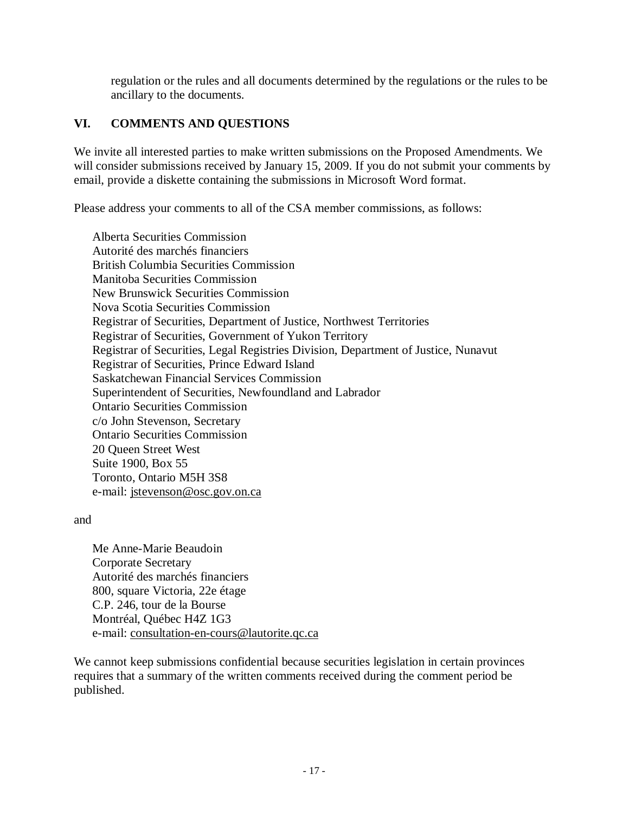regulation or the rules and all documents determined by the regulations or the rules to be ancillary to the documents.

### **VI. COMMENTS AND QUESTIONS**

We invite all interested parties to make written submissions on the Proposed Amendments. We will consider submissions received by January 15, 2009. If you do not submit your comments by email, provide a diskette containing the submissions in Microsoft Word format.

Please address your comments to all of the CSA member commissions, as follows:

Alberta Securities Commission Autorité des marchés financiers British Columbia Securities Commission Manitoba Securities Commission New Brunswick Securities Commission Nova Scotia Securities Commission Registrar of Securities, Department of Justice, Northwest Territories Registrar of Securities, Government of Yukon Territory Registrar of Securities, Legal Registries Division, Department of Justice, Nunavut Registrar of Securities, Prince Edward Island Saskatchewan Financial Services Commission Superintendent of Securities, Newfoundland and Labrador Ontario Securities Commission c/o John Stevenson, Secretary Ontario Securities Commission 20 Queen Street West Suite 1900, Box 55 Toronto, Ontario M5H 3S8 e-mail: [jstevenson@osc.gov.on.ca](mailto:jstevenson@osc.gov.on.ca)

#### and

Me Anne-Marie Beaudoin Corporate Secretary Autorité des marchés financiers 800, square Victoria, 22e étage C.P. 246, tour de la Bourse Montréal, Québec H4Z 1G3 e-mail: consultation-en-cours@lautorite.qc.ca

We cannot keep submissions confidential because securities legislation in certain provinces requires that a summary of the written comments received during the comment period be published.